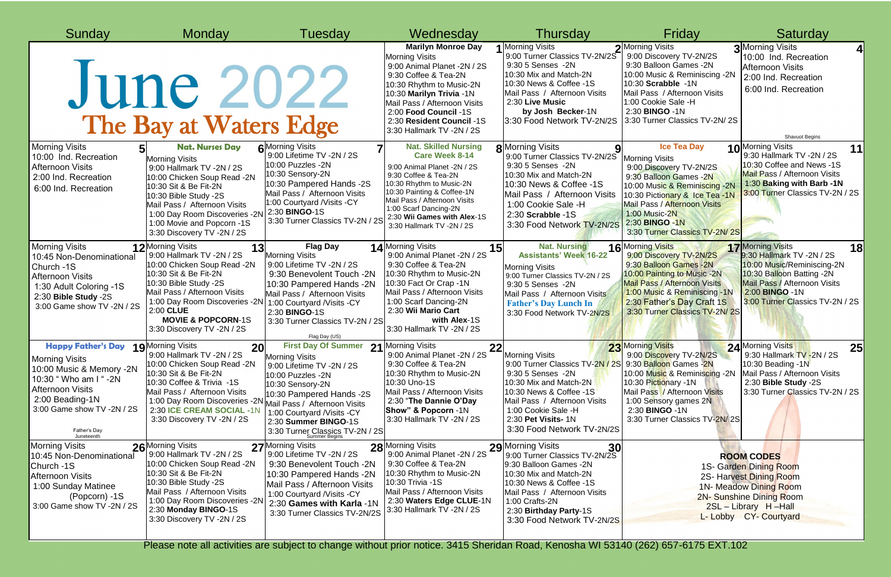| Sunday                                                                                                                                                                                                                               | Monday                                                                                                                                                                                                                                                                                        | Tuesday                                                                                                                                                                                                                                                                    | Wednesday                                                                                                                                                                                                                                                                                  | Thursday                                                                                                                                                                                                                                                               | Friday                                                                                                                                                                                                                                                                   | Saturday                                                                                                                                                                                                     |
|--------------------------------------------------------------------------------------------------------------------------------------------------------------------------------------------------------------------------------------|-----------------------------------------------------------------------------------------------------------------------------------------------------------------------------------------------------------------------------------------------------------------------------------------------|----------------------------------------------------------------------------------------------------------------------------------------------------------------------------------------------------------------------------------------------------------------------------|--------------------------------------------------------------------------------------------------------------------------------------------------------------------------------------------------------------------------------------------------------------------------------------------|------------------------------------------------------------------------------------------------------------------------------------------------------------------------------------------------------------------------------------------------------------------------|--------------------------------------------------------------------------------------------------------------------------------------------------------------------------------------------------------------------------------------------------------------------------|--------------------------------------------------------------------------------------------------------------------------------------------------------------------------------------------------------------|
|                                                                                                                                                                                                                                      | <b>June 2022</b><br>The Bay at Waters Edge                                                                                                                                                                                                                                                    |                                                                                                                                                                                                                                                                            | <b>Marilyn Monroe Day</b><br><b>Morning Visits</b><br>9:00 Animal Planet -2N / 2S<br>9:30 Coffee & Tea-2N<br>10:30 Rhythm to Music-2N<br>10:30 Marilyn Trivia -1N<br>Mail Pass / Afternoon Visits<br>2:00 Food Council -1S<br>2:30 Resident Council -1S<br>3:30 Hallmark TV -2N / 2S       | 1 Morning Visits<br>9:00 Turner Classics TV-2N/2S<br>9:30 5 Senses - 2N<br>10:30 Mix and Match-2N<br>10:30 News & Coffee -1S<br>Mail Pass / Afternoon Visits<br>2:30 Live Music<br>by Josh Becker-1N<br>3:30 Food Network TV-2N/2S                                     | 2 Morning Visits<br>9:00 Discovery TV-2N/2S<br>9:30 Balloon Games -2N<br>10:00 Music & Reminiscing -2N<br>10:30 Scrabble -1N<br>Mail Pass / Afternoon Visits<br>1:00 Cookie Sale -H<br>2:30 BINGO -1N<br>3:30 Turner Classics TV-2N/2S                                   | <b>3</b> Morning Visits<br>10:00 Ind. Recreation<br><b>Afternoon Visits</b><br>2:00 Ind. Recreation<br>6:00 Ind. Recreation<br><b>Shavuot Begins</b>                                                         |
| <b>Morning Visits</b><br>10:00 Ind. Recreation<br><b>Afternoon Visits</b><br>2:00 Ind. Recreation<br>6:00 Ind. Recreation                                                                                                            | <b>Nat. Nurses Day</b><br><b>Morning Visits</b><br>9:00 Hallmark TV -2N / 2S<br>10:00 Chicken Soup Read -2N<br>10:30 Sit & Be Fit-2N<br>10:30 Bible Study -2S<br>Mail Pass / Afternoon Visits<br>1:00 Day Room Discoveries -2N<br>1:00 Movie and Popcorn -1S<br>3:30 Discovery TV -2N / 2S    | <b>6</b> Morning Visits<br>9:00 Lifetime TV -2N / 2S<br>10:00 Puzzles -2N<br>10:30 Sensory-2N<br>10:30 Pampered Hands -2S<br>Mail Pass / Afternoon Visits<br>1:00 Courtyard / Visits - CY<br>2:30 <b>BINGO-1S</b><br>3:30 Turner Classics TV-2N / 2S                       | <b>Nat. Skilled Nursing</b><br><b>Care Week 8-14</b><br>9:00 Animal Planet -2N / 2S<br>9:30 Coffee & Tea-2N<br>10:30 Rhythm to Music-2N<br>10:30 Painting & Coffee-1N<br>Mail Pass / Afternoon Visits<br>1:00 Scarf Dancing-2N<br>2:30 Wii Games with Alex-1S<br>3:30 Hallmark TV -2N / 2S | <b>8</b> Morning Visits<br>9:00 Turner Classics TV-2N/2S<br>9:30 5 Senses - 2N<br>10:30 Mix and Match-2N<br>10:30 News & Coffee -1S<br>Mail Pass / Afternoon Visits<br>1:00 Cookie Sale -H<br>2:30 Scrabble -1S<br>3:30 Food Network TV-2N/2S                          | <b>Ice Tea Day</b><br><b>Morning Visits</b><br>9:00 Discovery TV-2N/2S<br>9:30 Balloon Games -2N<br>10:00 Music & Reminiscing -2N<br>10:30 Pictionary & Ice Tea -1N<br>Mail Pass / Afternoon Visits<br>1:00 Music-2N<br>2:30 BINGO - 1N<br>3:30 Turner Classics TV-2N/2S | 10 <sup>Morning Visits</sup><br>11<br>9:30 Hallmark TV -2N / 2S<br>10:30 Coffee and News -1S<br><b>Mail Pass / Afternoon Visits</b><br>1:30 Baking with Barb -1N<br>3:00 Turner Classics TV-2N / 2S          |
| <b>Morning Visits</b><br>10:45 Non-Denominational<br>Church -1S<br><b>Afternoon Visits</b><br>1:30 Adult Coloring -1S<br>2:30 Bible Study -2S<br>3:00 Game show TV -2N / 2S                                                          | 12 <sup>Morning Visits</sup><br>13<br>9:00 Hallmark TV -2N / 2S<br>10:00 Chicken Soup Read -2N<br>10:30 Sit & Be Fit-2N<br>10:30 Bible Study -2S<br>Mail Pass / Afternoon Visits<br>1:00 Day Room Discoveries -2N<br>2:00 CLUE<br><b>MOVIE &amp; POPCORN-1S</b><br>3:30 Discovery TV -2N / 2S | <b>Flag Day</b><br><b>Morning Visits</b><br>9:00 Lifetime TV -2N / 2S<br>9:30 Benevolent Touch -2N<br>10:30 Pampered Hands -2N<br>Mail Pass / Afternoon Visits<br>1:00 Courtyard / Visits - CY<br>2:30 <b>BINGO-1S</b><br>3:30 Turner Classics TV-2N / 2S<br>Flag Day (US) | 14 Morning Visits<br>15 <sub>l</sub><br>9:00 Animal Planet -2N / 2S<br>9:30 Coffee & Tea-2N<br>10:30 Rhythm to Music-2N<br>10:30 Fact Or Crap -1N<br>Mail Pass / Afternoon Visits<br>1:00 Scarf Dancing-2N<br>2:30 Wii Mario Cart<br>with Alex-1S<br>3:30 Hallmark TV -2N / 2S             | <b>Nat. Nursing</b><br><b>Assistants' Week 16-22</b><br><b>Morning Visits</b><br>9:00 Turner Classics TV-2N / 2S<br>9:30 5 Senses - 2N<br>Mail Pass / Afternoon Visits<br><b>Father's Day Lunch In</b><br>3:30 Food Network TV-2N/2S                                   | 16 <sup>Morning Visits</sup><br>9:00 Discovery TV-2N/2S<br>9:30 Balloon Games -2N<br>10:00 Painting to Music -2N<br><b>Mail Pass / Afternoon Visits</b><br>1:00 Music & Reminiscing -1N<br>2:30 Father's Day Craft 1S<br>3:30 Turner Classics TV-2N/2S                   | 17 Morning Visits<br>18<br>9:30 Hallmark TV -2N / 2S<br>10:00 Music/Reminiscing-2N<br>10:30 Balloon Batting -2N<br><b>Mail Pass / Afternoon Visits</b><br>2:00 BINGO - 1N<br>3:00 Turner Classics TV-2N / 2S |
| <b>Happy Father's Day 19 Morning Visits</b><br><b>Morning Visits</b><br>10:00 Music & Memory -2N<br>10:30 " Who am I " -2N<br><b>Afternoon Visits</b><br>2:00 Beading-1N<br>3:00 Game show TV -2N / 2S<br>Father's Day<br>Juneteenth | റ്റി<br>ZUI<br>9:00 Hallmark TV -2N / 2S<br>10:00 Chicken Soup Read -2N<br>10:30 Sit & Be Fit-2N<br>10:30 Coffee & Trivia -1S<br>Mail Pass / Afternoon Visits<br>1:00 Day Room Discoveries -2N Mail Pass / Afternoon Visits<br>2:30 ICE CREAM SOCIAL -1N<br>3:30 Discovery TV -2N / 2S        | First Day Of Summer 21 Morning Visits<br><b>Morning Visits</b><br>9:00 Lifetime TV -2N / 2S<br>10:00 Puzzles -2N<br>10:30 Sensory-2N<br>10:30 Pampered Hands -2S<br>1:00 Courtyard / Visits - CY<br>2:30 Summer BINGO-1S<br>3:30 Turner Classics TV-2N / 2S                | nnl<br>22<br>9:00 Animal Planet -2N / 2S<br>9:30 Coffee & Tea-2N<br>10:30 Rhythm to Music-2N<br>10:30 Uno-1S<br>Mail Pass / Afternoon Visits<br>2:30 "The Dannie O'Day<br>Show" & Popcorn -1N<br>3:30 Hallmark TV -2N / 2S                                                                 | <b>Morning Visits</b><br>9:00 Turner Classics TV-2N / 2S 9:30 Balloon Games -2N<br>9:30 5 Senses - 2N<br>10:30 Mix and Match-2N<br>10:30 News & Coffee -1S<br>Mail Pass / Afternoon Visits<br>1:00 Cookie Sale -H<br>2:30 Pet Visits- 1N<br>3:30 Food Network TV-2N/2S | 23 Morning Visits<br>9:00 Discovery TV-2N/2S<br>10:00 Music & Reminiscing -2N<br>10:30 Pictionary -1N<br>Mail Pass / Afternoon Visits<br>1:00 Sensory games 2N<br>2:30 <b>BINGO -1N</b><br>3:30 Turner Classics TV-2N/2S                                                 | 24 Morning Visits<br>$\Omega$<br>וכ∠<br>9:30 Hallmark TV - 2N / 2S<br>10:30 Beading -1N<br>Mail Pass / Afternoon Visits<br>2:30 Bible Study -2S<br>3:30 Turner Classics TV-2N / 2S                           |
| <b>Morning Visits</b><br>10:45 Non-Denominational<br>Church -1S<br><b>Afternoon Visits</b><br>1:00 Sunday Matinee<br>(Popcorn) -1S<br>3:00 Game show TV -2N / 2S                                                                     | 26 <sup>Morning Visits</sup><br>9:00 Hallmark TV -2N / 2S<br>10:00 Chicken Soup Read -2N<br>10:30 Sit & Be Fit-2N<br>10:30 Bible Study -2S<br>Mail Pass / Afternoon Visits<br>1:00 Day Room Discoveries -2N<br>2:30 Monday BINGO-1S<br>3:30 Discovery TV -2N / 2S                             | 27 Morning Visits<br>9:00 Lifetime TV -2N / 2S<br>9:30 Benevolent Touch -2N<br>10:30 Pampered Hands -2N<br>Mail Pass / Afternoon Visits<br>1:00 Courtyard / Visits - CY<br>2:30 Games with Karla -1N<br>3:30 Turner Classics TV-2N/2S                                      | 28 Morning Visits<br>9:00 Animal Planet -2N / 2S<br>9:30 Coffee & Tea-2N<br>10:30 Rhythm to Music-2N<br>10:30 Trivia -1S<br>Mail Pass / Afternoon Visits<br>2:30 Waters Edge CLUE-1N<br>3:30 Hallmark TV -2N / 2S                                                                          | 29 Morning Visits<br>30<br>9:00 Turner Classics TV-2N/2S<br>9:30 Balloon Games -2N<br>10:30 Mix and Match-2N<br>10:30 News & Coffee -1S<br>Mail Pass / Afternoon Visits<br>1:00 Crafts-2N<br>2:30 Birthday Party-1S<br>3:30 Food Network TV-2N/2S                      |                                                                                                                                                                                                                                                                          | <b>ROOM CODES</b><br>1S- Garden Dining Room<br>2S- Harvest Dining Room<br>1N- Meadow Dining Room<br><b>2N- Sunshine Dining Room</b><br>2SL - Library H - Hall<br>L- Lobby CY- Courtyard                      |

Please note all activities are subject to change without prior notice. 3415 Sheridan Road, Kenosha WI 53140 (262) 657-6175 EXT.102